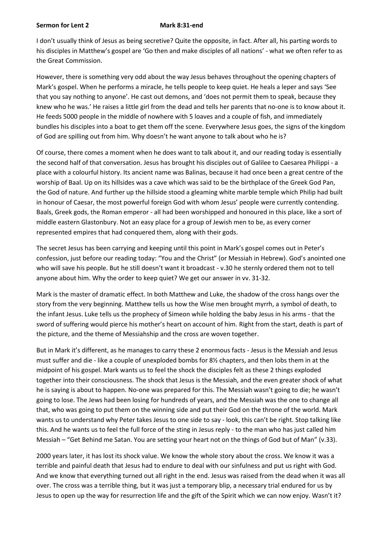## **Sermon for Lent 2 Mark 8:31-end**

I don't usually think of Jesus as being secretive? Quite the opposite, in fact. After all, his parting words to his disciples in Matthew's gospel are 'Go then and make disciples of all nations' - what we often refer to as the Great Commission.

However, there is something very odd about the way Jesus behaves throughout the opening chapters of Mark's gospel. When he performs a miracle, he tells people to keep quiet. He heals a leper and says 'See that you say nothing to anyone'. He cast out demons, and 'does not permit them to speak, because they knew who he was.' He raises a little girl from the dead and tells her parents that no-one is to know about it. He feeds 5000 people in the middle of nowhere with 5 loaves and a couple of fish, and immediately bundles his disciples into a boat to get them off the scene. Everywhere Jesus goes, the signs of the kingdom of God are spilling out from him. Why doesn't he want anyone to talk about who he is?

Of course, there comes a moment when he does want to talk about it, and our reading today is essentially the second half of that conversation. Jesus has brought his disciples out of Galilee to Caesarea Philippi - a place with a colourful history. Its ancient name was Balinas, because it had once been a great centre of the worship of Baal. Up on its hillsides was a cave which was said to be the birthplace of the Greek God Pan, the God of nature. And further up the hillside stood a gleaming white marble temple which Philip had built in honour of Caesar, the most powerful foreign God with whom Jesus' people were currently contending. Baals, Greek gods, the Roman emperor - all had been worshipped and honoured in this place, like a sort of middle eastern Glastonbury. Not an easy place for a group of Jewish men to be, as every corner represented empires that had conquered them, along with their gods.

The secret Jesus has been carrying and keeping until this point in Mark's gospel comes out in Peter's confession, just before our reading today: "You and the Christ" (or Messiah in Hebrew). God's anointed one who will save his people. But he still doesn't want it broadcast - v.30 he sternly ordered them not to tell anyone about him. Why the order to keep quiet? We get our answer in vv. 31-32.

Mark is the master of dramatic effect. In both Matthew and Luke, the shadow of the cross hangs over the story from the very beginning. Matthew tells us how the Wise men brought myrrh, a symbol of death, to the infant Jesus. Luke tells us the prophecy of Simeon while holding the baby Jesus in his arms - that the sword of suffering would pierce his mother's heart on account of him. Right from the start, death is part of the picture, and the theme of Messiahship and the cross are woven together.

But in Mark it's different, as he manages to carry these 2 enormous facts - Jesus is the Messiah and Jesus must suffer and die - like a couple of unexploded bombs for 8½ chapters, and then lobs them in at the midpoint of his gospel. Mark wants us to feel the shock the disciples felt as these 2 things exploded together into their consciousness. The shock that Jesus is the Messiah, and the even greater shock of what he is saying is about to happen. No-one was prepared for this. The Messiah wasn't going to die; he wasn't going to lose. The Jews had been losing for hundreds of years, and the Messiah was the one to change all that, who was going to put them on the winning side and put their God on the throne of the world. Mark wants us to understand why Peter takes Jesus to one side to say - look, this can't be right. Stop talking like this. And he wants us to feel the full force of the sting in Jesus reply - to the man who has just called him Messiah – "Get Behind me Satan. You are setting your heart not on the things of God but of Man" (v.33).

2000 years later, it has lost its shock value. We know the whole story about the cross. We know it was a terrible and painful death that Jesus had to endure to deal with our sinfulness and put us right with God. And we know that everything turned out all right in the end. Jesus was raised from the dead when it was all over. The cross was a terrible thing, but it was just a temporary blip, a necessary trial endured for us by Jesus to open up the way for resurrection life and the gift of the Spirit which we can now enjoy. Wasn't it?